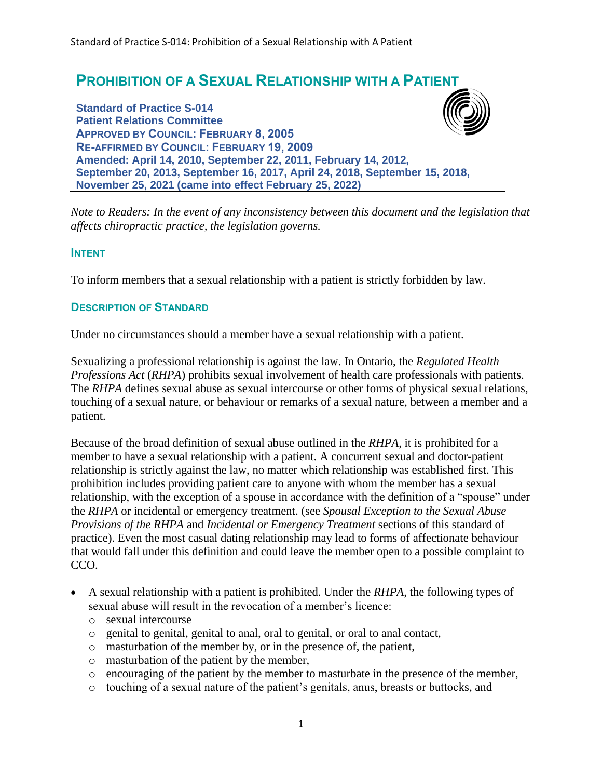

*Note to Readers: In the event of any inconsistency between this document and the legislation that affects chiropractic practice, the legislation governs.*

#### **INTENT**

To inform members that a sexual relationship with a patient is strictly forbidden by law.

#### **DESCRIPTION OF STANDARD**

Under no circumstances should a member have a sexual relationship with a patient.

Sexualizing a professional relationship is against the law. In Ontario, the *Regulated Health Professions Act* (*RHPA*) prohibits sexual involvement of health care professionals with patients. The *RHPA* defines sexual abuse as sexual intercourse or other forms of physical sexual relations, touching of a sexual nature, or behaviour or remarks of a sexual nature, between a member and a patient.

Because of the broad definition of sexual abuse outlined in the *RHPA*, it is prohibited for a member to have a sexual relationship with a patient. A concurrent sexual and doctor-patient relationship is strictly against the law, no matter which relationship was established first. This prohibition includes providing patient care to anyone with whom the member has a sexual relationship, with the exception of a spouse in accordance with the definition of a "spouse" under the *RHPA* or incidental or emergency treatment. (see *Spousal Exception to the Sexual Abuse Provisions of the RHPA* and *Incidental or Emergency Treatment* sections of this standard of practice). Even the most casual dating relationship may lead to forms of affectionate behaviour that would fall under this definition and could leave the member open to a possible complaint to CCO.

- A sexual relationship with a patient is prohibited. Under the *RHPA*, the following types of sexual abuse will result in the revocation of a member's licence:
	- o sexual intercourse
	- o genital to genital, genital to anal, oral to genital, or oral to anal contact,
	- o masturbation of the member by, or in the presence of, the patient,
	- o masturbation of the patient by the member,
	- o encouraging of the patient by the member to masturbate in the presence of the member,
	- o touching of a sexual nature of the patient's genitals, anus, breasts or buttocks, and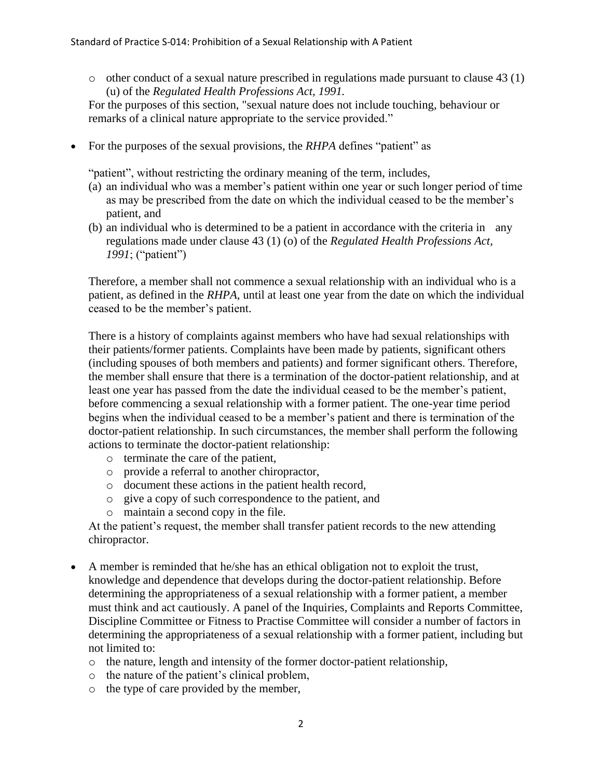o other conduct of a sexual nature prescribed in regulations made pursuant to clause 43 (1) (u) of the *Regulated Health Professions Act, 1991.*

For the purposes of this section, "sexual nature does not include touching, behaviour or remarks of a clinical nature appropriate to the service provided."

• For the purposes of the sexual provisions, the *RHPA* defines "patient" as

"patient", without restricting the ordinary meaning of the term, includes,

- (a) an individual who was a member's patient within one year or such longer period of time as may be prescribed from the date on which the individual ceased to be the member's patient, and
- (b) an individual who is determined to be a patient in accordance with the criteria in any regulations made under clause 43 (1) (o) of the *Regulated Health Professions Act, 1991*; ("patient")

Therefore, a member shall not commence a sexual relationship with an individual who is a patient, as defined in the *RHPA*, until at least one year from the date on which the individual ceased to be the member's patient.

There is a history of complaints against members who have had sexual relationships with their patients/former patients. Complaints have been made by patients, significant others (including spouses of both members and patients) and former significant others. Therefore, the member shall ensure that there is a termination of the doctor-patient relationship, and at least one year has passed from the date the individual ceased to be the member's patient, before commencing a sexual relationship with a former patient. The one-year time period begins when the individual ceased to be a member's patient and there is termination of the doctor-patient relationship. In such circumstances, the member shall perform the following actions to terminate the doctor-patient relationship:

- o terminate the care of the patient,
- o provide a referral to another chiropractor,
- o document these actions in the patient health record,
- o give a copy of such correspondence to the patient, and
- o maintain a second copy in the file.

At the patient's request, the member shall transfer patient records to the new attending chiropractor.

- A member is reminded that he/she has an ethical obligation not to exploit the trust, knowledge and dependence that develops during the doctor-patient relationship. Before determining the appropriateness of a sexual relationship with a former patient, a member must think and act cautiously. A panel of the Inquiries, Complaints and Reports Committee, Discipline Committee or Fitness to Practise Committee will consider a number of factors in determining the appropriateness of a sexual relationship with a former patient, including but not limited to:
	- o the nature, length and intensity of the former doctor-patient relationship,
	- o the nature of the patient's clinical problem,
	- o the type of care provided by the member,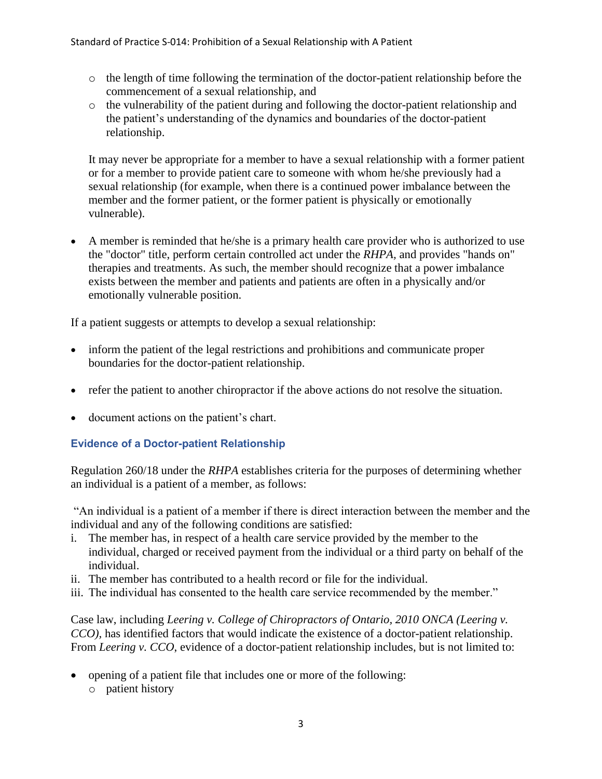- o the length of time following the termination of the doctor-patient relationship before the commencement of a sexual relationship, and
- o the vulnerability of the patient during and following the doctor-patient relationship and the patient's understanding of the dynamics and boundaries of the doctor-patient relationship.

It may never be appropriate for a member to have a sexual relationship with a former patient or for a member to provide patient care to someone with whom he/she previously had a sexual relationship (for example, when there is a continued power imbalance between the member and the former patient, or the former patient is physically or emotionally vulnerable).

• A member is reminded that he/she is a primary health care provider who is authorized to use the "doctor" title, perform certain controlled act under the *RHPA,* and provides "hands on" therapies and treatments. As such, the member should recognize that a power imbalance exists between the member and patients and patients are often in a physically and/or emotionally vulnerable position.

If a patient suggests or attempts to develop a sexual relationship:

- inform the patient of the legal restrictions and prohibitions and communicate proper boundaries for the doctor-patient relationship.
- refer the patient to another chiropractor if the above actions do not resolve the situation.
- document actions on the patient's chart.

# **Evidence of a Doctor-patient Relationship**

Regulation 260/18 under the *RHPA* establishes criteria for the purposes of determining whether an individual is a patient of a member, as follows:

"An individual is a patient of a member if there is direct interaction between the member and the individual and any of the following conditions are satisfied:

- i. The member has, in respect of a health care service provided by the member to the individual, charged or received payment from the individual or a third party on behalf of the individual.
- ii. The member has contributed to a health record or file for the individual.
- iii. The individual has consented to the health care service recommended by the member."

Case law, including *Leering v. College of Chiropractors of Ontario, 2010 ONCA (Leering v. CCO),* has identified factors that would indicate the existence of a doctor-patient relationship. From *Leering v. CCO*, evidence of a doctor-patient relationship includes, but is not limited to:

- opening of a patient file that includes one or more of the following:
	- o patient history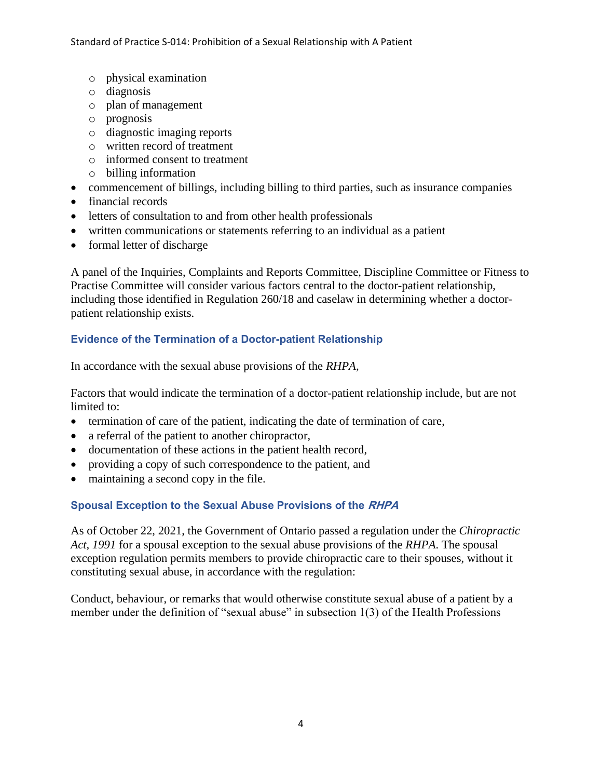- o physical examination
- o diagnosis
- o plan of management
- o prognosis
- o diagnostic imaging reports
- o written record of treatment
- o informed consent to treatment
- o billing information
- commencement of billings, including billing to third parties, such as insurance companies
- financial records
- letters of consultation to and from other health professionals
- written communications or statements referring to an individual as a patient
- formal letter of discharge

A panel of the Inquiries, Complaints and Reports Committee, Discipline Committee or Fitness to Practise Committee will consider various factors central to the doctor-patient relationship, including those identified in Regulation 260/18 and caselaw in determining whether a doctorpatient relationship exists.

## **Evidence of the Termination of a Doctor-patient Relationship**

In accordance with the sexual abuse provisions of the *RHPA*,

Factors that would indicate the termination of a doctor-patient relationship include, but are not limited to:

- termination of care of the patient, indicating the date of termination of care,
- a referral of the patient to another chiropractor,
- documentation of these actions in the patient health record,
- providing a copy of such correspondence to the patient, and
- maintaining a second copy in the file.

## **Spousal Exception to the Sexual Abuse Provisions of the RHPA**

As of October 22, 2021, the Government of Ontario passed a regulation under the *Chiropractic Act, 1991* for a spousal exception to the sexual abuse provisions of the *RHPA*. The spousal exception regulation permits members to provide chiropractic care to their spouses, without it constituting sexual abuse, in accordance with the regulation:

Conduct, behaviour, or remarks that would otherwise constitute sexual abuse of a patient by a member under the definition of "sexual abuse" in subsection 1(3) of the Health Professions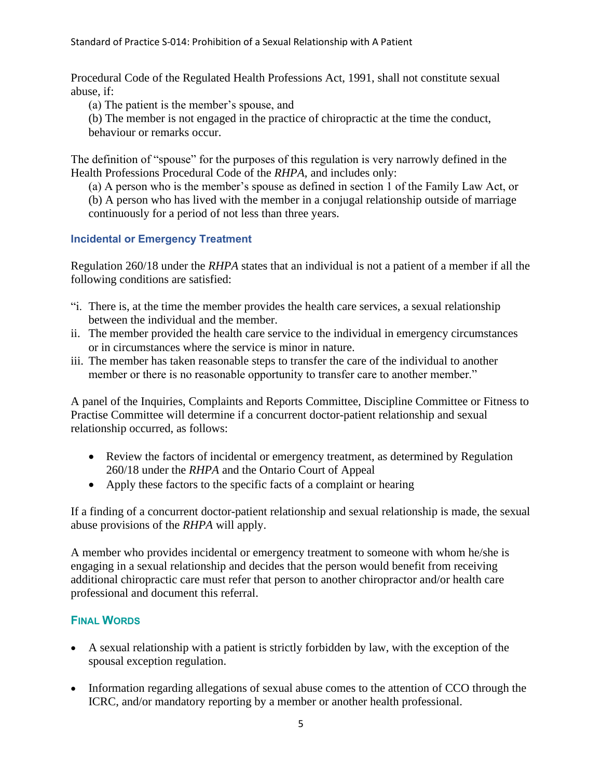Procedural Code of the Regulated Health Professions Act, 1991, shall not constitute sexual abuse, if:

(a) The patient is the member's spouse, and

(b) The member is not engaged in the practice of chiropractic at the time the conduct, behaviour or remarks occur.

The definition of "spouse" for the purposes of this regulation is very narrowly defined in the Health Professions Procedural Code of the *RHPA*, and includes only:

(a) A person who is the member's spouse as defined in section 1 of the Family Law Act, or (b) A person who has lived with the member in a conjugal relationship outside of marriage continuously for a period of not less than three years.

# **Incidental or Emergency Treatment**

Regulation 260/18 under the *RHPA* states that an individual is not a patient of a member if all the following conditions are satisfied:

- "i. There is, at the time the member provides the health care services, a sexual relationship between the individual and the member.
- ii. The member provided the health care service to the individual in emergency circumstances or in circumstances where the service is minor in nature.
- iii. The member has taken reasonable steps to transfer the care of the individual to another member or there is no reasonable opportunity to transfer care to another member."

A panel of the Inquiries, Complaints and Reports Committee, Discipline Committee or Fitness to Practise Committee will determine if a concurrent doctor-patient relationship and sexual relationship occurred, as follows:

- Review the factors of incidental or emergency treatment, as determined by Regulation 260/18 under the *RHPA* and the Ontario Court of Appeal
- Apply these factors to the specific facts of a complaint or hearing

If a finding of a concurrent doctor-patient relationship and sexual relationship is made, the sexual abuse provisions of the *RHPA* will apply.

A member who provides incidental or emergency treatment to someone with whom he/she is engaging in a sexual relationship and decides that the person would benefit from receiving additional chiropractic care must refer that person to another chiropractor and/or health care professional and document this referral.

# **FINAL WORDS**

- A sexual relationship with a patient is strictly forbidden by law, with the exception of the spousal exception regulation.
- Information regarding allegations of sexual abuse comes to the attention of CCO through the ICRC, and/or mandatory reporting by a member or another health professional.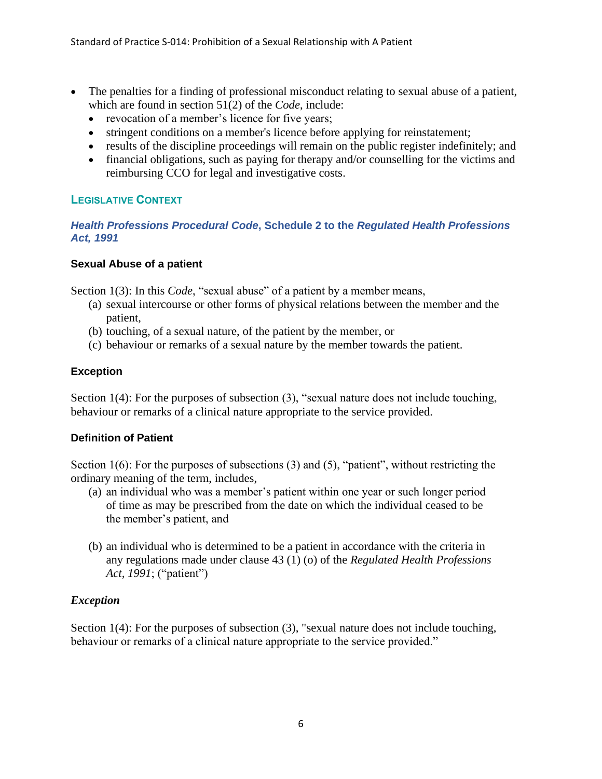- The penalties for a finding of professional misconduct relating to sexual abuse of a patient, which are found in section 51(2) of the *Code*, include:
	- revocation of a member's licence for five years;
	- stringent conditions on a member's licence before applying for reinstatement;
	- results of the discipline proceedings will remain on the public register indefinitely; and
	- financial obligations, such as paying for therapy and/or counselling for the victims and reimbursing CCO for legal and investigative costs.

## **LEGISLATIVE CONTEXT**

### *Health Professions Procedural Code***, Schedule 2 to the** *Regulated Health Professions Act, 1991*

## **Sexual Abuse of a patient**

Section 1(3): In this *Code*, "sexual abuse" of a patient by a member means,

- (a) sexual intercourse or other forms of physical relations between the member and the patient,
- (b) touching, of a sexual nature, of the patient by the member, or
- (c) behaviour or remarks of a sexual nature by the member towards the patient.

# **Exception**

Section 1(4): For the purposes of subsection (3), "sexual nature does not include touching, behaviour or remarks of a clinical nature appropriate to the service provided.

# **Definition of Patient**

Section 1(6): For the purposes of subsections (3) and (5), "patient", without restricting the ordinary meaning of the term, includes,

- (a) an individual who was a member's patient within one year or such longer period of time as may be prescribed from the date on which the individual ceased to be the member's patient, and
- (b) an individual who is determined to be a patient in accordance with the criteria in any regulations made under clause 43 (1) (o) of the *Regulated Health Professions Act, 1991*; ("patient")

# *Exception*

Section 1(4): For the purposes of subsection (3), "sexual nature does not include touching, behaviour or remarks of a clinical nature appropriate to the service provided."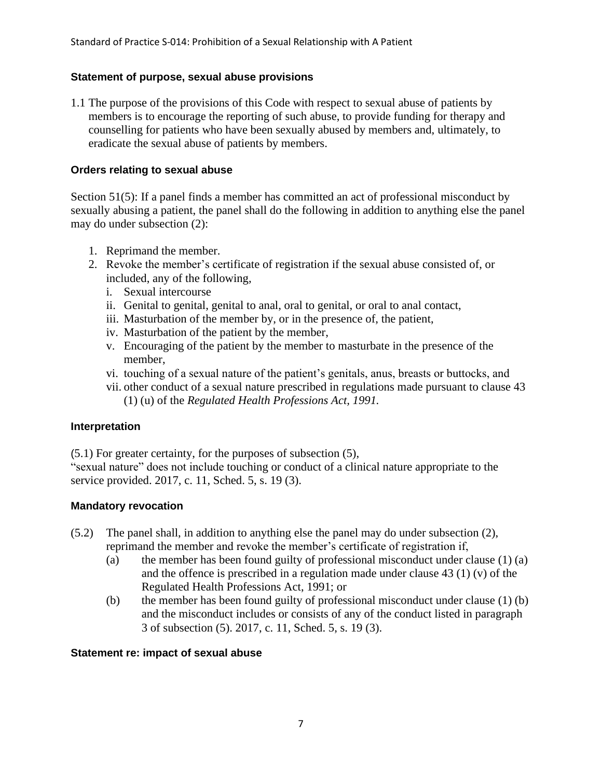### **Statement of purpose, sexual abuse provisions**

1.1 The purpose of the provisions of this Code with respect to sexual abuse of patients by members is to encourage the reporting of such abuse, to provide funding for therapy and counselling for patients who have been sexually abused by members and, ultimately, to eradicate the sexual abuse of patients by members.

#### **Orders relating to sexual abuse**

Section 51(5): If a panel finds a member has committed an act of professional misconduct by sexually abusing a patient, the panel shall do the following in addition to anything else the panel may do under subsection (2):

- 1. Reprimand the member.
- 2. Revoke the member's certificate of registration if the sexual abuse consisted of, or included, any of the following,
	- i. Sexual intercourse
	- ii. Genital to genital, genital to anal, oral to genital, or oral to anal contact,
	- iii. Masturbation of the member by, or in the presence of, the patient,
	- iv. Masturbation of the patient by the member,
	- v. Encouraging of the patient by the member to masturbate in the presence of the member,
	- vi. touching of a sexual nature of the patient's genitals, anus, breasts or buttocks, and
	- vii. other conduct of a sexual nature prescribed in regulations made pursuant to clause 43 (1) (u) of the *Regulated Health Professions Act, 1991.*

#### **Interpretation**

(5.1) For greater certainty, for the purposes of subsection (5),

"sexual nature" does not include touching or conduct of a clinical nature appropriate to the service provided. 2017, c. 11, Sched. 5, s. 19 (3).

#### **Mandatory revocation**

- (5.2) The panel shall, in addition to anything else the panel may do under subsection (2), reprimand the member and revoke the member's certificate of registration if,
	- (a) the member has been found guilty of professional misconduct under clause (1) (a) and the offence is prescribed in a regulation made under clause 43 (1) (v) of the Regulated Health Professions Act, 1991; or
	- (b) the member has been found guilty of professional misconduct under clause (1) (b) and the misconduct includes or consists of any of the conduct listed in paragraph 3 of subsection (5). 2017, c. 11, Sched. 5, s. 19 (3).

#### **Statement re: impact of sexual abuse**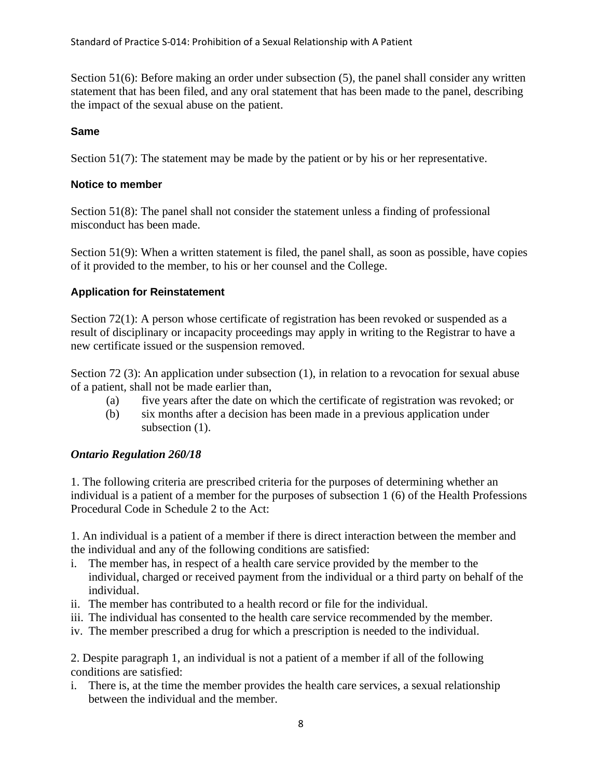Section 51(6): Before making an order under subsection (5), the panel shall consider any written statement that has been filed, and any oral statement that has been made to the panel, describing the impact of the sexual abuse on the patient.

## **Same**

Section 51(7): The statement may be made by the patient or by his or her representative.

## **Notice to member**

Section 51(8): The panel shall not consider the statement unless a finding of professional misconduct has been made.

Section 51(9): When a written statement is filed, the panel shall, as soon as possible, have copies of it provided to the member, to his or her counsel and the College.

## **Application for Reinstatement**

Section 72(1): A person whose certificate of registration has been revoked or suspended as a result of disciplinary or incapacity proceedings may apply in writing to the Registrar to have a new certificate issued or the suspension removed.

Section 72 (3): An application under subsection (1), in relation to a revocation for sexual abuse of a patient, shall not be made earlier than,

- (a) five years after the date on which the certificate of registration was revoked; or
- (b) six months after a decision has been made in a previous application under subsection  $(1)$ .

## *Ontario Regulation 260/18*

1. The following criteria are prescribed criteria for the purposes of determining whether an individual is a patient of a member for the purposes of subsection 1 (6) of the Health Professions Procedural Code in Schedule 2 to the Act:

1. An individual is a patient of a member if there is direct interaction between the member and the individual and any of the following conditions are satisfied:

- i. The member has, in respect of a health care service provided by the member to the individual, charged or received payment from the individual or a third party on behalf of the individual.
- ii. The member has contributed to a health record or file for the individual.
- iii. The individual has consented to the health care service recommended by the member.
- iv. The member prescribed a drug for which a prescription is needed to the individual.

2. Despite paragraph 1, an individual is not a patient of a member if all of the following conditions are satisfied:

i. There is, at the time the member provides the health care services, a sexual relationship between the individual and the member.